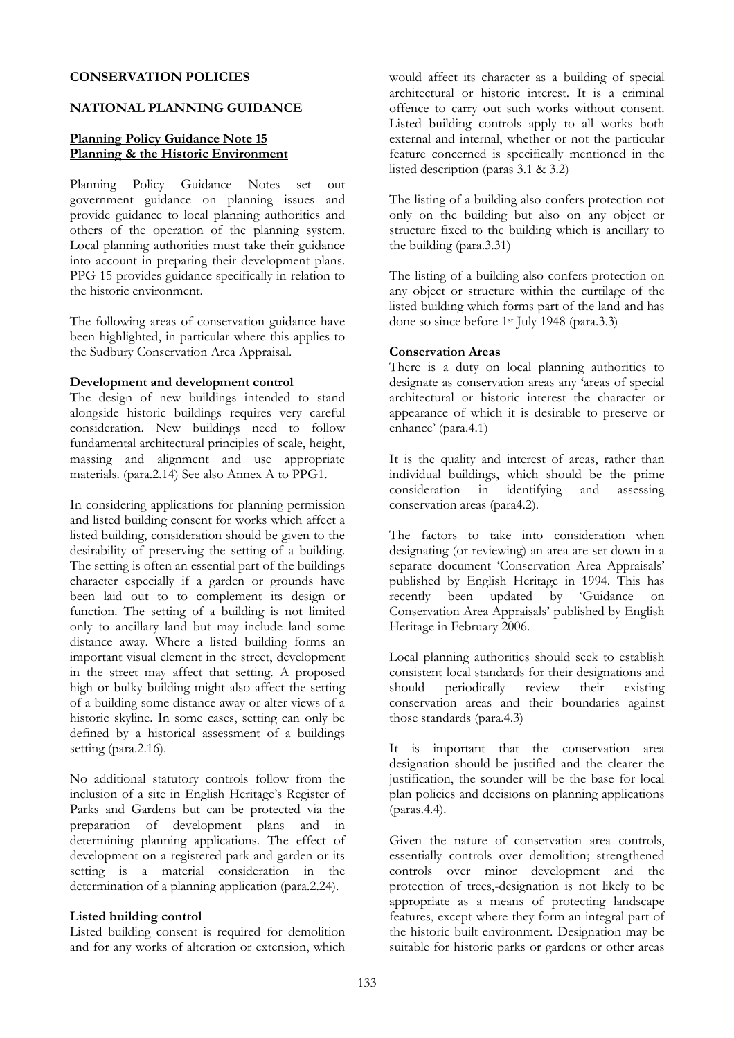#### CONSERVATION POLICIES

#### NATIONAL PLANNING GUIDANCE

### Planning Policy Guidance Note 15 Planning & the Historic Environment

Planning Policy Guidance Notes set out government guidance on planning issues and provide guidance to local planning authorities and others of the operation of the planning system. Local planning authorities must take their guidance into account in preparing their development plans. PPG 15 provides guidance specifically in relation to the historic environment.

The following areas of conservation guidance have been highlighted, in particular where this applies to the Sudbury Conservation Area Appraisal.

#### Development and development control

The design of new buildings intended to stand alongside historic buildings requires very careful consideration. New buildings need to follow fundamental architectural principles of scale, height, massing and alignment and use appropriate materials. (para.2.14) See also Annex A to PPG1.

In considering applications for planning permission and listed building consent for works which affect a listed building, consideration should be given to the desirability of preserving the setting of a building. The setting is often an essential part of the buildings character especially if a garden or grounds have been laid out to to complement its design or function. The setting of a building is not limited only to ancillary land but may include land some distance away. Where a listed building forms an important visual element in the street, development in the street may affect that setting. A proposed high or bulky building might also affect the setting of a building some distance away or alter views of a historic skyline. In some cases, setting can only be defined by a historical assessment of a buildings setting (para.2.16).

No additional statutory controls follow from the inclusion of a site in English Heritage's Register of Parks and Gardens but can be protected via the preparation of development plans and in determining planning applications. The effect of development on a registered park and garden or its setting is a material consideration in the determination of a planning application (para.2.24).

#### Listed building control

Listed building consent is required for demolition and for any works of alteration or extension, which

would affect its character as a building of special architectural or historic interest. It is a criminal offence to carry out such works without consent. Listed building controls apply to all works both external and internal, whether or not the particular feature concerned is specifically mentioned in the listed description (paras 3.1 & 3.2)

The listing of a building also confers protection not only on the building but also on any object or structure fixed to the building which is ancillary to the building (para.3.31)

The listing of a building also confers protection on any object or structure within the curtilage of the listed building which forms part of the land and has done so since before 1st July 1948 (para.3.3)

#### Conservation Areas

There is a duty on local planning authorities to designate as conservation areas any 'areas of special architectural or historic interest the character or appearance of which it is desirable to preserve or enhance' (para.4.1)

It is the quality and interest of areas, rather than individual buildings, which should be the prime consideration in identifying and assessing conservation areas (para4.2).

The factors to take into consideration when designating (or reviewing) an area are set down in a separate document 'Conservation Area Appraisals' published by English Heritage in 1994. This has<br>recently been updated by 'Guidance on recently been updated by 'Guidance on Conservation Area Appraisals' published by English Heritage in February 2006.

Local planning authorities should seek to establish consistent local standards for their designations and should periodically review their existing conservation areas and their boundaries against those standards (para.4.3)

It is important that the conservation area designation should be justified and the clearer the justification, the sounder will be the base for local plan policies and decisions on planning applications (paras.4.4).

Given the nature of conservation area controls, essentially controls over demolition; strengthened controls over minor development and the protection of trees,-designation is not likely to be appropriate as a means of protecting landscape features, except where they form an integral part of the historic built environment. Designation may be suitable for historic parks or gardens or other areas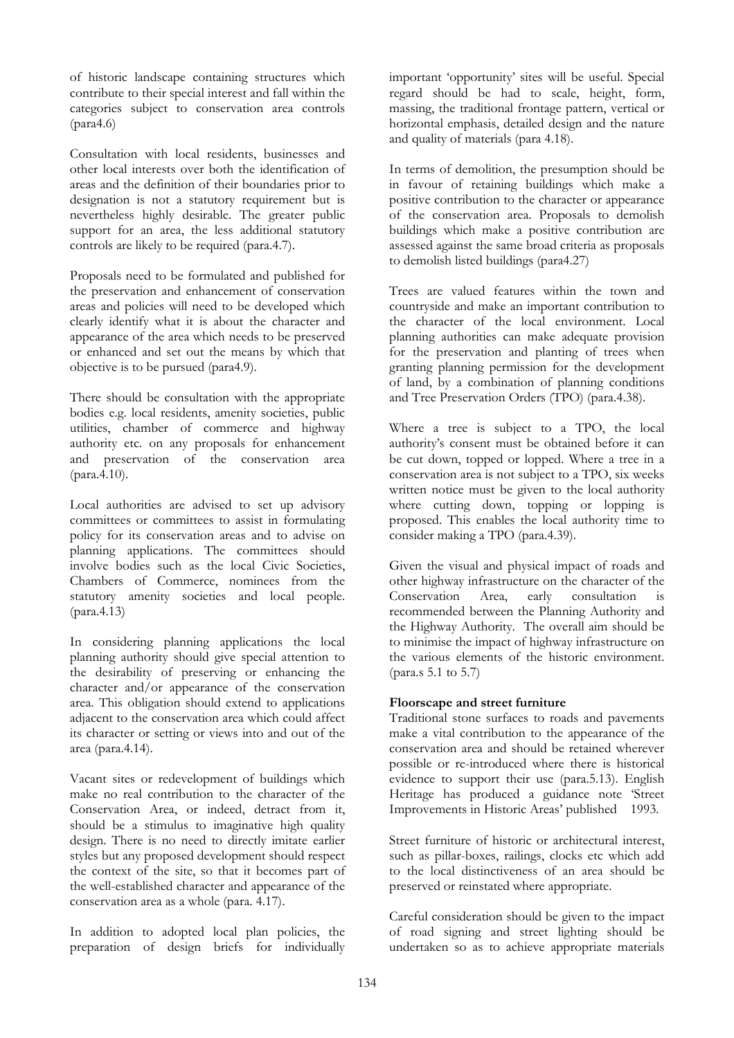of historic landscape containing structures which contribute to their special interest and fall within the categories subject to conservation area controls (para4.6)

Consultation with local residents, businesses and other local interests over both the identification of areas and the definition of their boundaries prior to designation is not a statutory requirement but is nevertheless highly desirable. The greater public support for an area, the less additional statutory controls are likely to be required (para.4.7).

Proposals need to be formulated and published for the preservation and enhancement of conservation areas and policies will need to be developed which clearly identify what it is about the character and appearance of the area which needs to be preserved or enhanced and set out the means by which that objective is to be pursued (para4.9).

There should be consultation with the appropriate bodies e.g. local residents, amenity societies, public utilities, chamber of commerce and highway authority etc. on any proposals for enhancement and preservation of the conservation area (para.4.10).

Local authorities are advised to set up advisory committees or committees to assist in formulating policy for its conservation areas and to advise on planning applications. The committees should involve bodies such as the local Civic Societies, Chambers of Commerce, nominees from the statutory amenity societies and local people. (para.4.13)

In considering planning applications the local planning authority should give special attention to the desirability of preserving or enhancing the character and/or appearance of the conservation area. This obligation should extend to applications adjacent to the conservation area which could affect its character or setting or views into and out of the area (para.4.14).

Vacant sites or redevelopment of buildings which make no real contribution to the character of the Conservation Area, or indeed, detract from it, should be a stimulus to imaginative high quality design. There is no need to directly imitate earlier styles but any proposed development should respect the context of the site, so that it becomes part of the well-established character and appearance of the conservation area as a whole (para. 4.17).

In addition to adopted local plan policies, the preparation of design briefs for individually important 'opportunity' sites will be useful. Special regard should be had to scale, height, form, massing, the traditional frontage pattern, vertical or horizontal emphasis, detailed design and the nature and quality of materials (para 4.18).

In terms of demolition, the presumption should be in favour of retaining buildings which make a positive contribution to the character or appearance of the conservation area. Proposals to demolish buildings which make a positive contribution are assessed against the same broad criteria as proposals to demolish listed buildings (para4.27)

Trees are valued features within the town and countryside and make an important contribution to the character of the local environment. Local planning authorities can make adequate provision for the preservation and planting of trees when granting planning permission for the development of land, by a combination of planning conditions and Tree Preservation Orders (TPO) (para.4.38).

Where a tree is subject to a TPO, the local authority's consent must be obtained before it can be cut down, topped or lopped. Where a tree in a conservation area is not subject to a TPO, six weeks written notice must be given to the local authority where cutting down, topping or lopping is proposed. This enables the local authority time to consider making a TPO (para.4.39).

Given the visual and physical impact of roads and other highway infrastructure on the character of the<br>Conservation Area. early consultation is Conservation Area, early consultation is recommended between the Planning Authority and the Highway Authority. The overall aim should be to minimise the impact of highway infrastructure on the various elements of the historic environment. (para.s 5.1 to 5.7)

### Floorscape and street furniture

Traditional stone surfaces to roads and pavements make a vital contribution to the appearance of the conservation area and should be retained wherever possible or re-introduced where there is historical evidence to support their use (para.5.13). English Heritage has produced a guidance note 'Street Improvements in Historic Areas' published 1993.

Street furniture of historic or architectural interest, such as pillar-boxes, railings, clocks etc which add to the local distinctiveness of an area should be preserved or reinstated where appropriate.

Careful consideration should be given to the impact of road signing and street lighting should be undertaken so as to achieve appropriate materials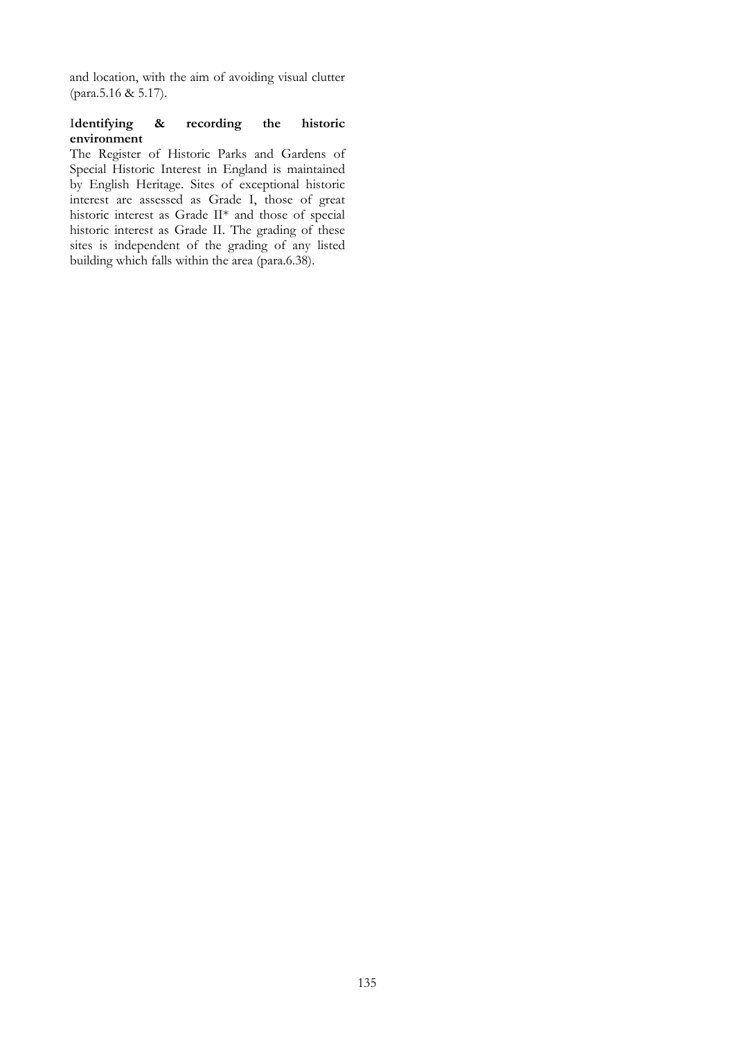and location, with the aim of avoiding visual clutter (para.5.16 & 5.17).

#### Identifying & recording the historic environment

The Register of Historic Parks and Gardens of Special Historic Interest in England is maintained by English Heritage. Sites of exceptional historic interest are assessed as Grade I, those of great historic interest as Grade II\* and those of special historic interest as Grade II. The grading of these sites is independent of the grading of any listed building which falls within the area (para.6.38).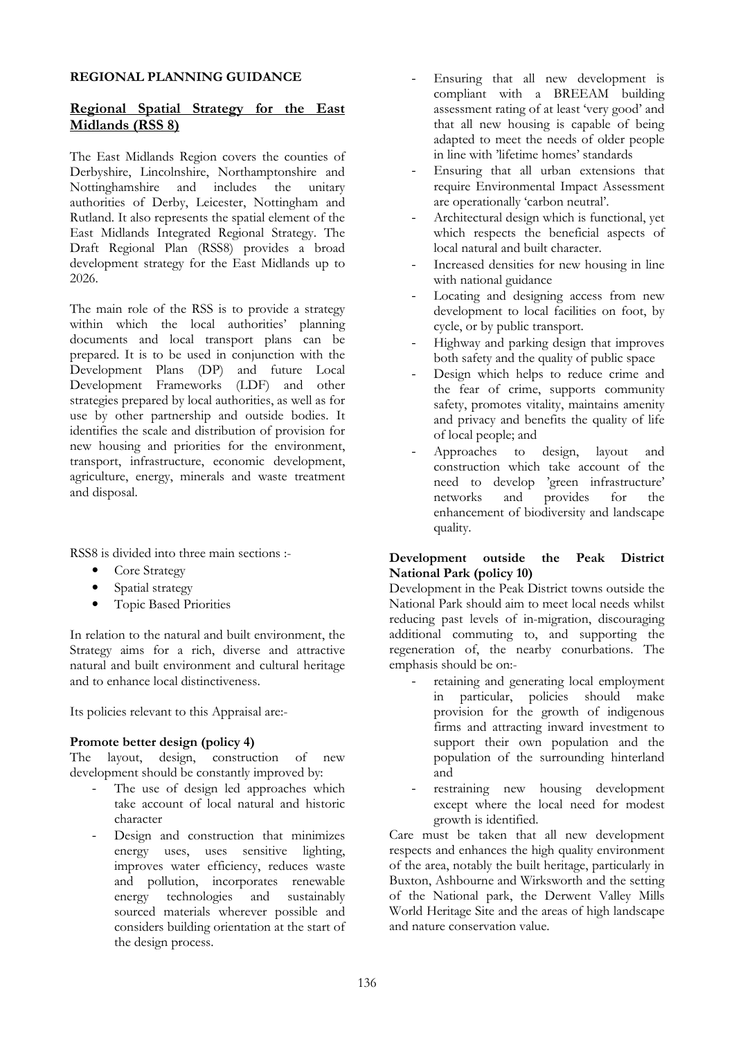### REGIONAL PLANNING GUIDANCE

# Regional Spatial Strategy for the East Midlands (RSS 8)

The East Midlands Region covers the counties of Derbyshire, Lincolnshire, Northamptonshire and Nottinghamshire and includes the unitary authorities of Derby, Leicester, Nottingham and Rutland. It also represents the spatial element of the East Midlands Integrated Regional Strategy. The Draft Regional Plan (RSS8) provides a broad development strategy for the East Midlands up to 2026.

The main role of the RSS is to provide a strategy within which the local authorities' planning documents and local transport plans can be prepared. It is to be used in conjunction with the Development Plans (DP) and future Local Development Frameworks (LDF) and other strategies prepared by local authorities, as well as for use by other partnership and outside bodies. It identifies the scale and distribution of provision for new housing and priorities for the environment, transport, infrastructure, economic development, agriculture, energy, minerals and waste treatment and disposal.

RSS8 is divided into three main sections :-

- Core Strategy
- Spatial strategy
- Topic Based Priorities

In relation to the natural and built environment, the Strategy aims for a rich, diverse and attractive natural and built environment and cultural heritage and to enhance local distinctiveness.

Its policies relevant to this Appraisal are:-

### Promote better design (policy 4)

The layout, design, construction of new development should be constantly improved by:

- The use of design led approaches which take account of local natural and historic character
- Design and construction that minimizes energy uses, uses sensitive lighting, improves water efficiency, reduces waste and pollution, incorporates renewable energy technologies and sustainably sourced materials wherever possible and considers building orientation at the start of the design process.
- Ensuring that all new development is compliant with a BREEAM building assessment rating of at least 'very good' and that all new housing is capable of being adapted to meet the needs of older people in line with 'lifetime homes' standards
- Ensuring that all urban extensions that require Environmental Impact Assessment are operationally 'carbon neutral'.
- Architectural design which is functional, yet which respects the beneficial aspects of local natural and built character.
- Increased densities for new housing in line with national guidance
- Locating and designing access from new development to local facilities on foot, by cycle, or by public transport.
- Highway and parking design that improves both safety and the quality of public space
- Design which helps to reduce crime and the fear of crime, supports community safety, promotes vitality, maintains amenity and privacy and benefits the quality of life of local people; and
- Approaches to design, layout and construction which take account of the need to develop 'green infrastructure' networks and provides for the enhancement of biodiversity and landscape quality.

### Development outside the Peak District National Park (policy 10)

Development in the Peak District towns outside the National Park should aim to meet local needs whilst reducing past levels of in-migration, discouraging additional commuting to, and supporting the regeneration of, the nearby conurbations. The emphasis should be on:-

- retaining and generating local employment in particular, policies should make provision for the growth of indigenous firms and attracting inward investment to support their own population and the population of the surrounding hinterland and
- restraining new housing development except where the local need for modest growth is identified.

Care must be taken that all new development respects and enhances the high quality environment of the area, notably the built heritage, particularly in Buxton, Ashbourne and Wirksworth and the setting of the National park, the Derwent Valley Mills World Heritage Site and the areas of high landscape and nature conservation value.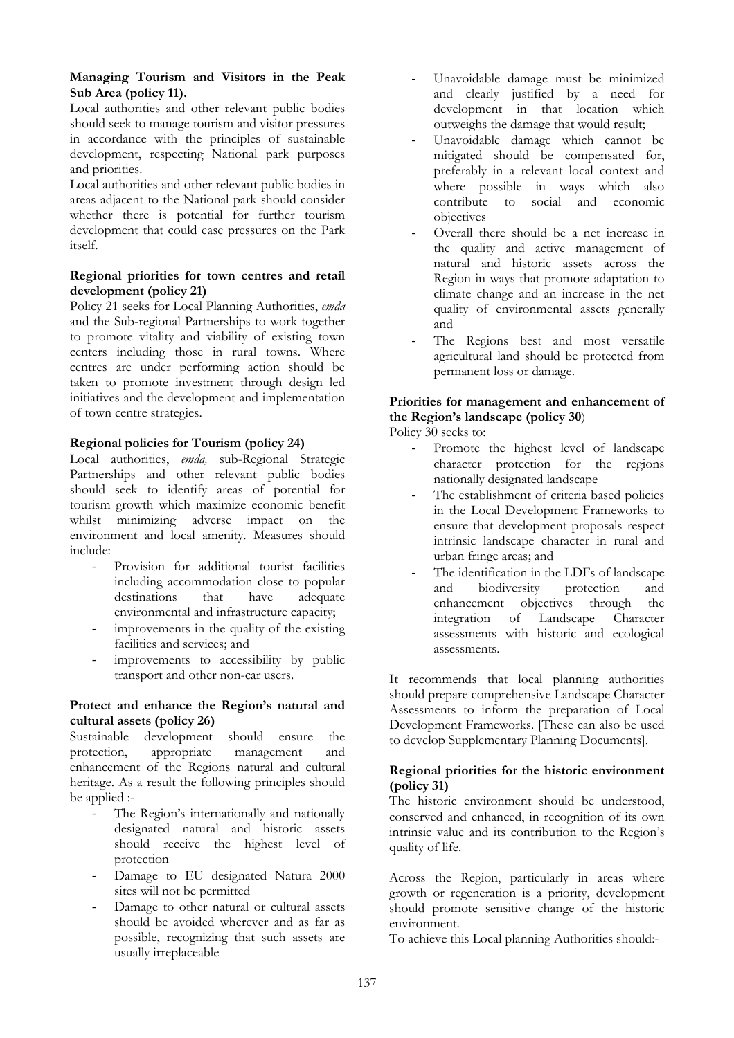## Managing Tourism and Visitors in the Peak Sub Area (policy 11).

Local authorities and other relevant public bodies should seek to manage tourism and visitor pressures in accordance with the principles of sustainable development, respecting National park purposes and priorities.

Local authorities and other relevant public bodies in areas adjacent to the National park should consider whether there is potential for further tourism development that could ease pressures on the Park itself.

### Regional priorities for town centres and retail development (policy 21)

Policy 21 seeks for Local Planning Authorities, emda and the Sub-regional Partnerships to work together to promote vitality and viability of existing town centers including those in rural towns. Where centres are under performing action should be taken to promote investment through design led initiatives and the development and implementation of town centre strategies.

# Regional policies for Tourism (policy 24)

Local authorities, emda, sub-Regional Strategic Partnerships and other relevant public bodies should seek to identify areas of potential for tourism growth which maximize economic benefit whilst minimizing adverse impact on the environment and local amenity. Measures should include:

- Provision for additional tourist facilities including accommodation close to popular destinations that have adequate environmental and infrastructure capacity;
- improvements in the quality of the existing facilities and services; and
- improvements to accessibility by public transport and other non-car users.

## Protect and enhance the Region's natural and cultural assets (policy 26)

Sustainable development should ensure the protection, appropriate management and protection, appropriate management and enhancement of the Regions natural and cultural heritage. As a result the following principles should be applied :-

- The Region's internationally and nationally designated natural and historic assets should receive the highest level of protection
- Damage to EU designated Natura 2000 sites will not be permitted
- Damage to other natural or cultural assets should be avoided wherever and as far as possible, recognizing that such assets are usually irreplaceable
- Unavoidable damage must be minimized and clearly justified by a need for development in that location which outweighs the damage that would result;
- Unavoidable damage which cannot be mitigated should be compensated for, preferably in a relevant local context and where possible in ways which also<br>contribute to social and economic to social and economic objectives
- Overall there should be a net increase in the quality and active management of natural and historic assets across the Region in ways that promote adaptation to climate change and an increase in the net quality of environmental assets generally and
- The Regions best and most versatile agricultural land should be protected from permanent loss or damage.

# Priorities for management and enhancement of the Region's landscape (policy 30)

Policy 30 seeks to:

- Promote the highest level of landscape character protection for the regions nationally designated landscape
- The establishment of criteria based policies in the Local Development Frameworks to ensure that development proposals respect intrinsic landscape character in rural and urban fringe areas; and
- The identification in the LDFs of landscape and biodiversity protection and enhancement objectives through the integration of Landscape Character assessments with historic and ecological assessments.

It recommends that local planning authorities should prepare comprehensive Landscape Character Assessments to inform the preparation of Local Development Frameworks. [These can also be used to develop Supplementary Planning Documents].

# Regional priorities for the historic environment (policy 31)

The historic environment should be understood, conserved and enhanced, in recognition of its own intrinsic value and its contribution to the Region's quality of life.

Across the Region, particularly in areas where growth or regeneration is a priority, development should promote sensitive change of the historic environment.

To achieve this Local planning Authorities should:-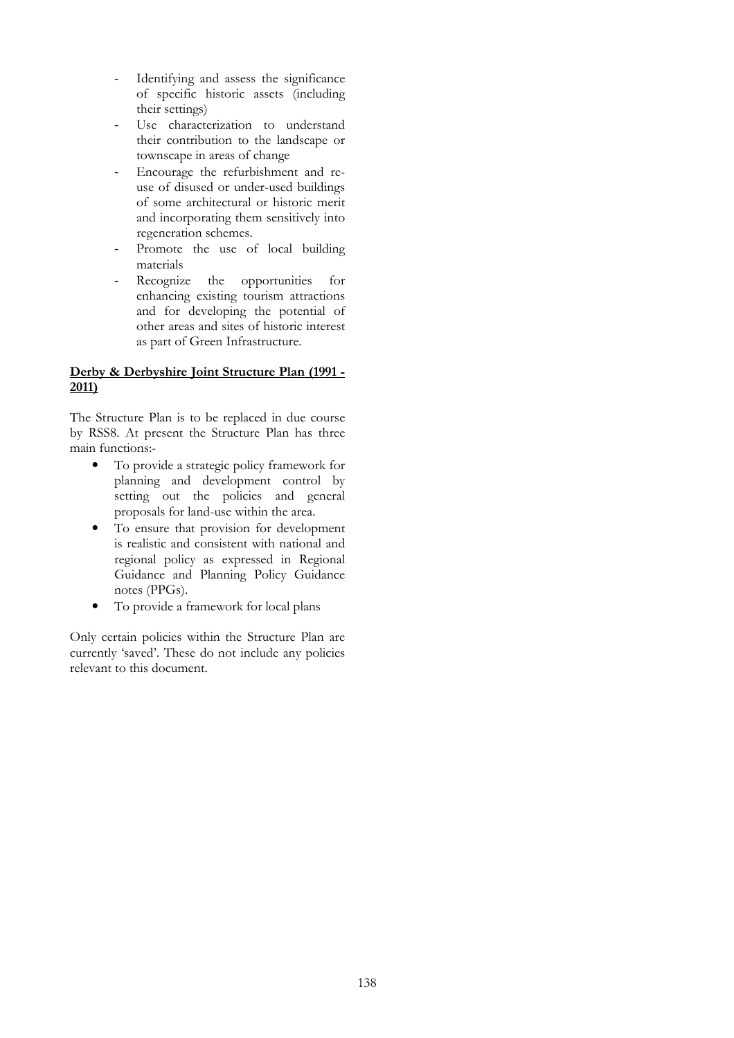- Identifying and assess the significance of specific historic assets (including their settings)
- Use characterization to understand their contribution to the landscape or townscape in areas of change
- Encourage the refurbishment and reuse of disused or under-used buildings of some architectural or historic merit and incorporating them sensitively into regeneration schemes.
- Promote the use of local building materials
- Recognize the opportunities for enhancing existing tourism attractions and for developing the potential of other areas and sites of historic interest as part of Green Infrastructure.

## Derby & Derbyshire Joint Structure Plan (1991 - 2011)

The Structure Plan is to be replaced in due course by RSS8. At present the Structure Plan has three main functions:-

- To provide a strategic policy framework for planning and development control by setting out the policies and general proposals for land-use within the area.
- To ensure that provision for development is realistic and consistent with national and regional policy as expressed in Regional Guidance and Planning Policy Guidance notes (PPGs).
- To provide a framework for local plans

Only certain policies within the Structure Plan are currently 'saved'. These do not include any policies relevant to this document.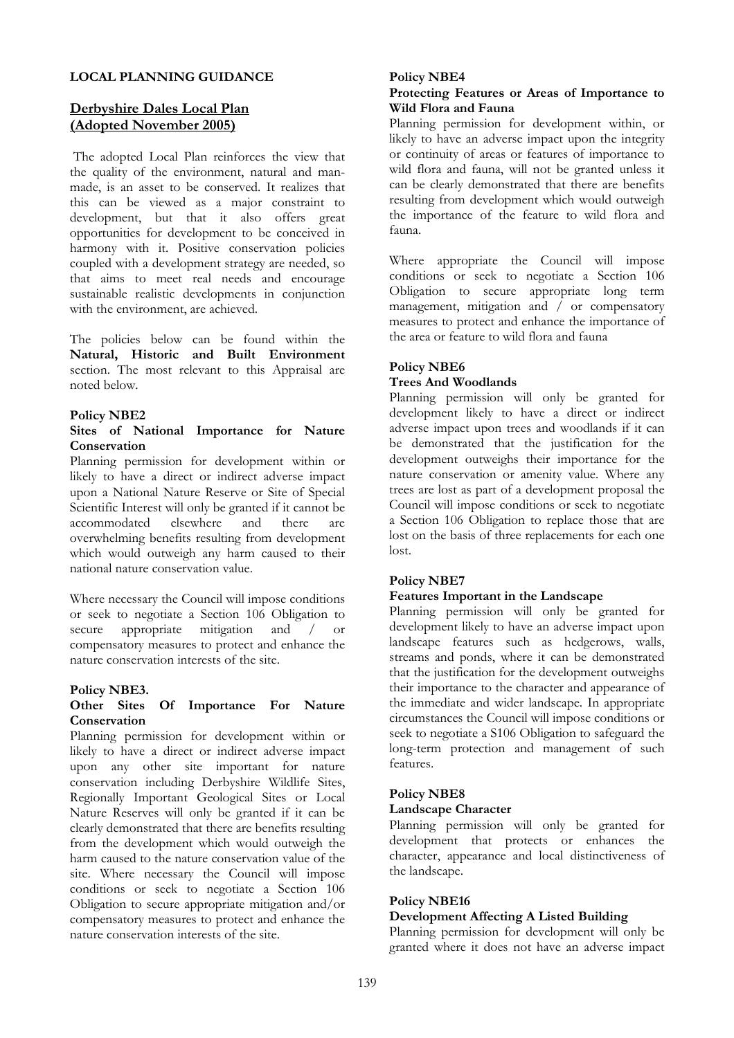#### LOCAL PLANNING GUIDANCE

## Derbyshire Dales Local Plan (Adopted November 2005)

 The adopted Local Plan reinforces the view that the quality of the environment, natural and manmade, is an asset to be conserved. It realizes that this can be viewed as a major constraint to development, but that it also offers great opportunities for development to be conceived in harmony with it. Positive conservation policies coupled with a development strategy are needed, so that aims to meet real needs and encourage sustainable realistic developments in conjunction with the environment, are achieved.

The policies below can be found within the Natural, Historic and Built Environment section. The most relevant to this Appraisal are noted below.

#### Policy NBE2

#### Sites of National Importance for Nature **Conservation**

Planning permission for development within or likely to have a direct or indirect adverse impact upon a National Nature Reserve or Site of Special Scientific Interest will only be granted if it cannot be accommodated elsewhere and there are overwhelming benefits resulting from development which would outweigh any harm caused to their national nature conservation value.

Where necessary the Council will impose conditions or seek to negotiate a Section 106 Obligation to secure appropriate mitigation and / or secure appropriate mitigation and / or compensatory measures to protect and enhance the nature conservation interests of the site.

#### Policy NBE3.

#### Other Sites Of Importance For Nature Conservation

Planning permission for development within or likely to have a direct or indirect adverse impact upon any other site important for nature conservation including Derbyshire Wildlife Sites, Regionally Important Geological Sites or Local Nature Reserves will only be granted if it can be clearly demonstrated that there are benefits resulting from the development which would outweigh the harm caused to the nature conservation value of the site. Where necessary the Council will impose conditions or seek to negotiate a Section 106 Obligation to secure appropriate mitigation and/or compensatory measures to protect and enhance the nature conservation interests of the site.

#### Policy NBE4

#### Protecting Features or Areas of Importance to Wild Flora and Fauna

Planning permission for development within, or likely to have an adverse impact upon the integrity or continuity of areas or features of importance to wild flora and fauna, will not be granted unless it can be clearly demonstrated that there are benefits resulting from development which would outweigh the importance of the feature to wild flora and fauna.

Where appropriate the Council will impose conditions or seek to negotiate a Section 106 Obligation to secure appropriate long term management, mitigation and  $\overline{\smash{)}\,}$  or compensatory measures to protect and enhance the importance of the area or feature to wild flora and fauna

# Policy NBE6

#### Trees And Woodlands

Planning permission will only be granted for development likely to have a direct or indirect adverse impact upon trees and woodlands if it can be demonstrated that the justification for the development outweighs their importance for the nature conservation or amenity value. Where any trees are lost as part of a development proposal the Council will impose conditions or seek to negotiate a Section 106 Obligation to replace those that are lost on the basis of three replacements for each one lost.

### Policy NBE7

#### Features Important in the Landscape

Planning permission will only be granted for development likely to have an adverse impact upon landscape features such as hedgerows, walls, streams and ponds, where it can be demonstrated that the justification for the development outweighs their importance to the character and appearance of the immediate and wider landscape. In appropriate circumstances the Council will impose conditions or seek to negotiate a S106 Obligation to safeguard the long-term protection and management of such features.

#### Policy NBE8

#### Landscape Character

Planning permission will only be granted for development that protects or enhances the character, appearance and local distinctiveness of the landscape.

### Policy NBE16

#### Development Affecting A Listed Building

Planning permission for development will only be granted where it does not have an adverse impact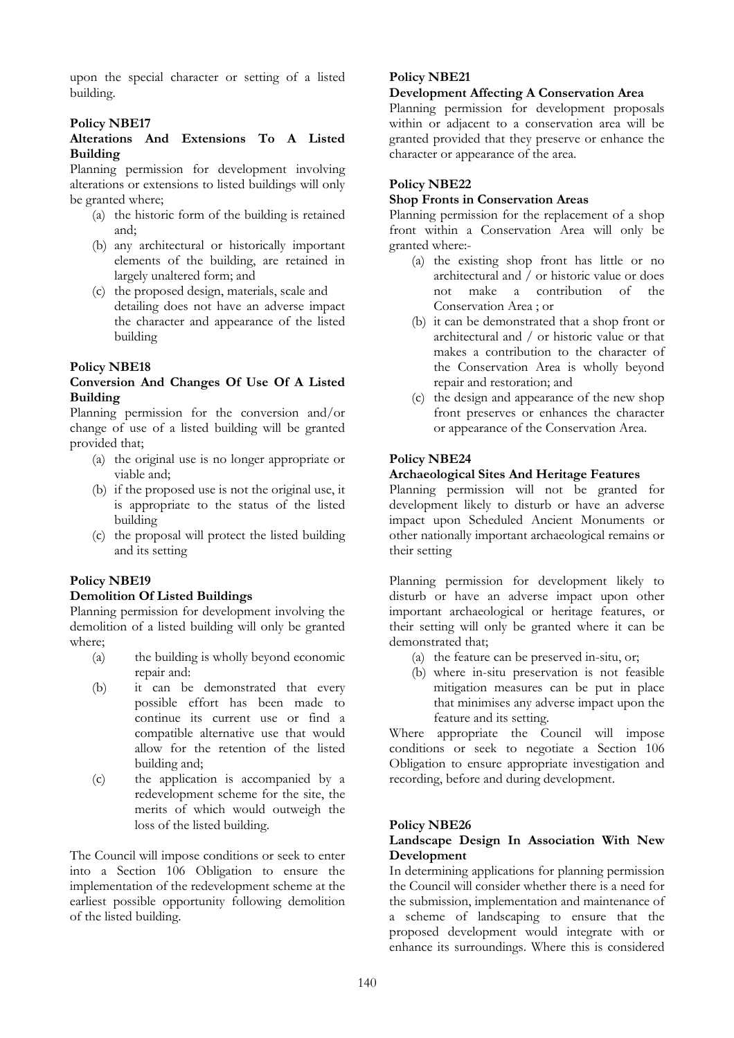upon the special character or setting of a listed building.

## Policy NBE17

### Alterations And Extensions To A Listed Building

Planning permission for development involving alterations or extensions to listed buildings will only be granted where;

- (a) the historic form of the building is retained and;
- (b) any architectural or historically important elements of the building, are retained in largely unaltered form; and
- (c) the proposed design, materials, scale and detailing does not have an adverse impact the character and appearance of the listed building

## Policy NBE18

### Conversion And Changes Of Use Of A Listed Building

Planning permission for the conversion and/or change of use of a listed building will be granted provided that;

- (a) the original use is no longer appropriate or viable and;
- (b) if the proposed use is not the original use, it is appropriate to the status of the listed building
- (c) the proposal will protect the listed building and its setting

### Policy NBE19

### Demolition Of Listed Buildings

Planning permission for development involving the demolition of a listed building will only be granted where;

- (a) the building is wholly beyond economic repair and:
- (b) it can be demonstrated that every possible effort has been made to continue its current use or find a compatible alternative use that would allow for the retention of the listed building and;
- (c) the application is accompanied by a redevelopment scheme for the site, the merits of which would outweigh the loss of the listed building.

The Council will impose conditions or seek to enter into a Section 106 Obligation to ensure the implementation of the redevelopment scheme at the earliest possible opportunity following demolition of the listed building.

## Policy NBE21

### Development Affecting A Conservation Area

Planning permission for development proposals within or adjacent to a conservation area will be granted provided that they preserve or enhance the character or appearance of the area.

## Policy NBE22

#### Shop Fronts in Conservation Areas

Planning permission for the replacement of a shop front within a Conservation Area will only be granted where:-

- (a) the existing shop front has little or no architectural and / or historic value or does not make a contribution of the Conservation Area ; or
- (b) it can be demonstrated that a shop front or architectural and / or historic value or that makes a contribution to the character of the Conservation Area is wholly beyond repair and restoration; and
- (c) the design and appearance of the new shop front preserves or enhances the character or appearance of the Conservation Area.

## Policy NBE24

### Archaeological Sites And Heritage Features

Planning permission will not be granted for development likely to disturb or have an adverse impact upon Scheduled Ancient Monuments or other nationally important archaeological remains or their setting

Planning permission for development likely to disturb or have an adverse impact upon other important archaeological or heritage features, or their setting will only be granted where it can be demonstrated that;

- (a) the feature can be preserved in-situ, or;
- (b) where in-situ preservation is not feasible mitigation measures can be put in place that minimises any adverse impact upon the feature and its setting.

Where appropriate the Council will impose conditions or seek to negotiate a Section 106 Obligation to ensure appropriate investigation and recording, before and during development.

### Policy NBE26

## Landscape Design In Association With New Development

In determining applications for planning permission the Council will consider whether there is a need for the submission, implementation and maintenance of a scheme of landscaping to ensure that the proposed development would integrate with or enhance its surroundings. Where this is considered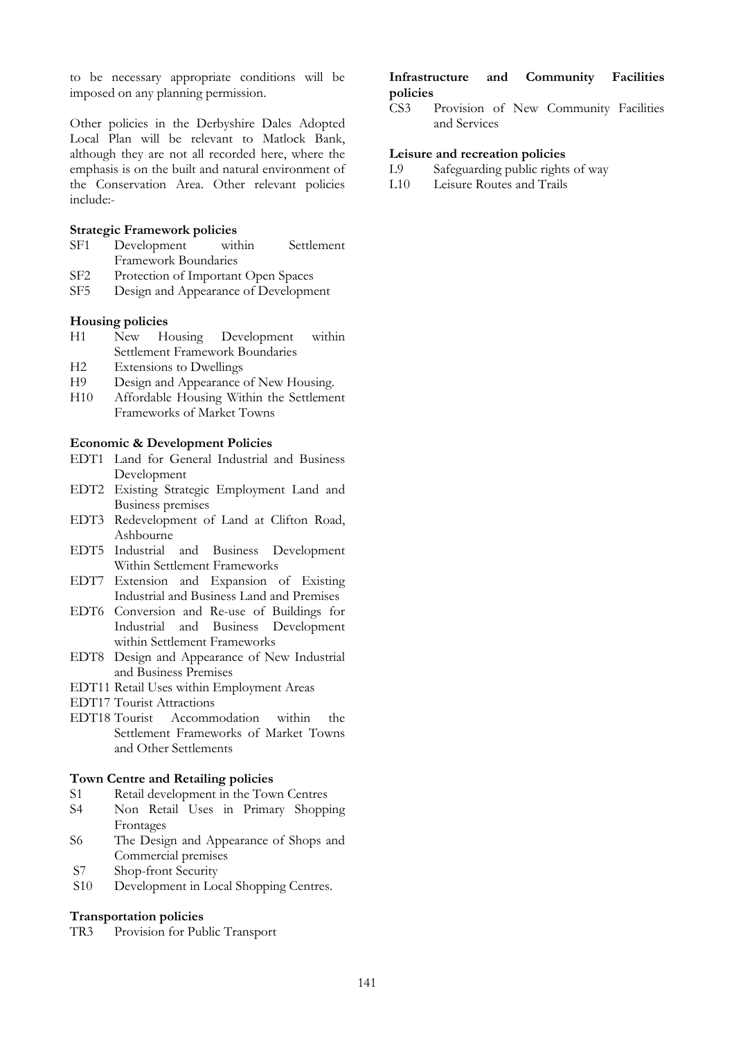to be necessary appropriate conditions will be imposed on any planning permission.

Other policies in the Derbyshire Dales Adopted Local Plan will be relevant to Matlock Bank, although they are not all recorded here, where the emphasis is on the built and natural environment of the Conservation Area. Other relevant policies include:-

#### Strategic Framework policies

- SF1 Development within Settlement Framework Boundaries
- SF2 Protection of Important Open Spaces
- SF5 Design and Appearance of Development

#### Housing policies

- H1 New Housing Development within Settlement Framework Boundaries
- H2 Extensions to Dwellings
- H9 Design and Appearance of New Housing.
- H10 Affordable Housing Within the Settlement Frameworks of Market Towns

#### Economic & Development Policies

- EDT1 Land for General Industrial and Business Development
- EDT2 Existing Strategic Employment Land and Business premises
- EDT3 Redevelopment of Land at Clifton Road, Ashbourne
- EDT5 Industrial and Business Development Within Settlement Frameworks
- EDT7 Extension and Expansion of Existing Industrial and Business Land and Premises
- EDT6 Conversion and Re-use of Buildings for Industrial and Business Development within Settlement Frameworks
- EDT8 Design and Appearance of New Industrial and Business Premises
- EDT11 Retail Uses within Employment Areas
- EDT17 Tourist Attractions
- EDT18 Tourist Accommodation within the Settlement Frameworks of Market Towns and Other Settlements

#### Town Centre and Retailing policies

- S1 Retail development in the Town Centres<br>S4 Non-Retail Uses in Primary Shopp
- Non Retail Uses in Primary Shopping Frontages
- S6 The Design and Appearance of Shops and Commercial premises
- S7 Shop-front Security
- S10 Development in Local Shopping Centres.

#### Transportation policies

TR3 Provision for Public Transport

## Infrastructure and Community Facilities policies

CS3 Provision of New Community Facilities and Services

#### Leisure and recreation policies

- L9 Safeguarding public rights of way<br>L10 Leisure Routes and Trails
- Leisure Routes and Trails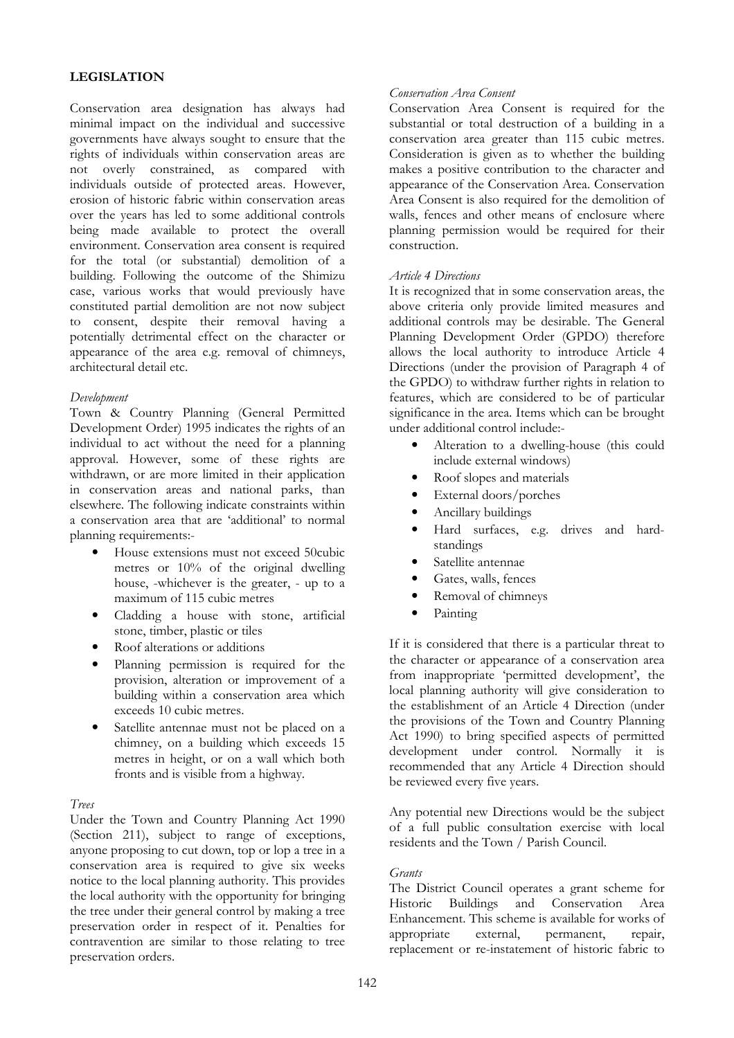# LEGISLATION

Conservation area designation has always had minimal impact on the individual and successive governments have always sought to ensure that the rights of individuals within conservation areas are not overly constrained, as compared with individuals outside of protected areas. However, erosion of historic fabric within conservation areas over the years has led to some additional controls being made available to protect the overall environment. Conservation area consent is required for the total (or substantial) demolition of a building. Following the outcome of the Shimizu case, various works that would previously have constituted partial demolition are not now subject to consent, despite their removal having a potentially detrimental effect on the character or appearance of the area e.g. removal of chimneys, architectural detail etc.

### Development

Town & Country Planning (General Permitted Development Order) 1995 indicates the rights of an individual to act without the need for a planning approval. However, some of these rights are withdrawn, or are more limited in their application in conservation areas and national parks, than elsewhere. The following indicate constraints within a conservation area that are 'additional' to normal planning requirements:-

- House extensions must not exceed 50cubic metres or 10% of the original dwelling house, -whichever is the greater, - up to a maximum of 115 cubic metres
- Cladding a house with stone, artificial stone, timber, plastic or tiles
- Roof alterations or additions
- Planning permission is required for the provision, alteration or improvement of a building within a conservation area which exceeds 10 cubic metres.
- Satellite antennae must not be placed on a chimney, on a building which exceeds 15 metres in height, or on a wall which both fronts and is visible from a highway.

### Trees

Under the Town and Country Planning Act 1990 (Section 211), subject to range of exceptions, anyone proposing to cut down, top or lop a tree in a conservation area is required to give six weeks notice to the local planning authority. This provides the local authority with the opportunity for bringing the tree under their general control by making a tree preservation order in respect of it. Penalties for contravention are similar to those relating to tree preservation orders.

### Conservation Area Consent

Conservation Area Consent is required for the substantial or total destruction of a building in a conservation area greater than 115 cubic metres. Consideration is given as to whether the building makes a positive contribution to the character and appearance of the Conservation Area. Conservation Area Consent is also required for the demolition of walls, fences and other means of enclosure where planning permission would be required for their construction.

### Article 4 Directions

It is recognized that in some conservation areas, the above criteria only provide limited measures and additional controls may be desirable. The General Planning Development Order (GPDO) therefore allows the local authority to introduce Article 4 Directions (under the provision of Paragraph 4 of the GPDO) to withdraw further rights in relation to features, which are considered to be of particular significance in the area. Items which can be brought under additional control include:-

- Alteration to a dwelling-house (this could include external windows)
- Roof slopes and materials
- External doors/porches
- Ancillary buildings
- Hard surfaces, e.g. drives and hardstandings
- Satellite antennae
- Gates, walls, fences
- Removal of chimneys
- Painting

If it is considered that there is a particular threat to the character or appearance of a conservation area from inappropriate 'permitted development', the local planning authority will give consideration to the establishment of an Article 4 Direction (under the provisions of the Town and Country Planning Act 1990) to bring specified aspects of permitted development under control. Normally it is recommended that any Article 4 Direction should be reviewed every five years.

Any potential new Directions would be the subject of a full public consultation exercise with local residents and the Town / Parish Council.

### Grants

The District Council operates a grant scheme for Historic Buildings and Conservation Area Enhancement. This scheme is available for works of appropriate external, permanent, repair, replacement or re-instatement of historic fabric to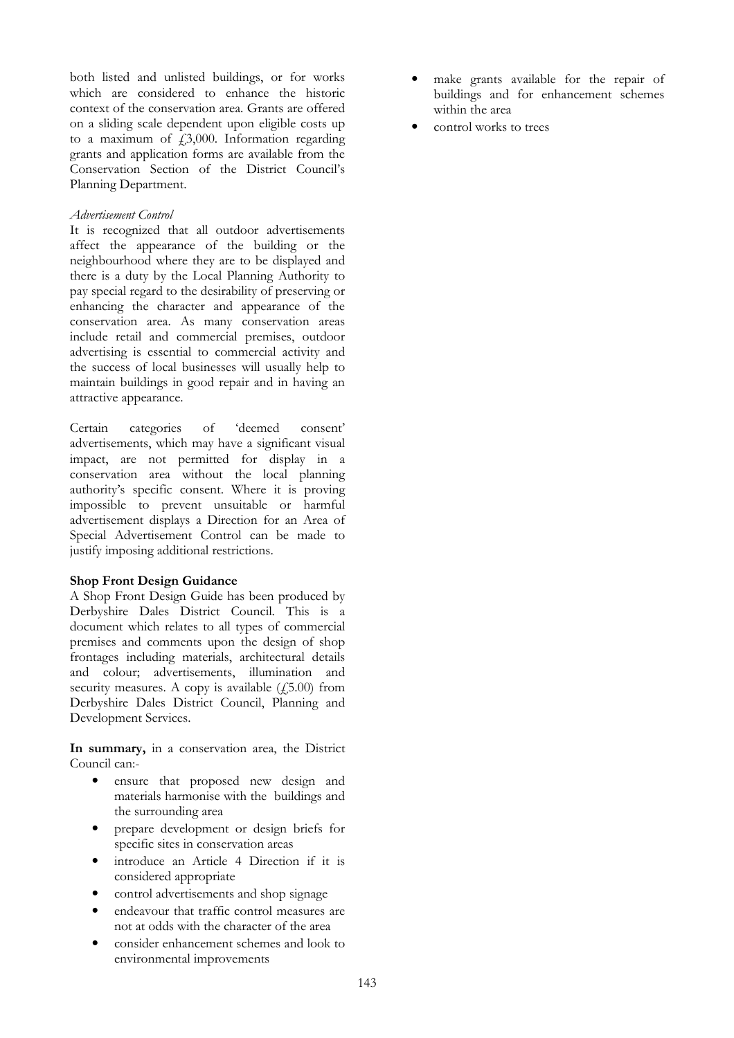both listed and unlisted buildings, or for works which are considered to enhance the historic context of the conservation area. Grants are offered on a sliding scale dependent upon eligible costs up to a maximum of  $f_1,3,000$ . Information regarding grants and application forms are available from the Conservation Section of the District Council's Planning Department.

#### Advertisement Control

It is recognized that all outdoor advertisements affect the appearance of the building or the neighbourhood where they are to be displayed and there is a duty by the Local Planning Authority to pay special regard to the desirability of preserving or enhancing the character and appearance of the conservation area. As many conservation areas include retail and commercial premises, outdoor advertising is essential to commercial activity and the success of local businesses will usually help to maintain buildings in good repair and in having an attractive appearance.

Certain categories of 'deemed consent' advertisements, which may have a significant visual impact, are not permitted for display in a conservation area without the local planning authority's specific consent. Where it is proving impossible to prevent unsuitable or harmful advertisement displays a Direction for an Area of Special Advertisement Control can be made to justify imposing additional restrictions.

### Shop Front Design Guidance

A Shop Front Design Guide has been produced by Derbyshire Dales District Council. This is a document which relates to all types of commercial premises and comments upon the design of shop frontages including materials, architectural details and colour; advertisements, illumination and security measures. A copy is available  $(15.00)$  from Derbyshire Dales District Council, Planning and Development Services.

In summary, in a conservation area, the District Council can:-

- ensure that proposed new design and materials harmonise with the buildings and the surrounding area
- prepare development or design briefs for specific sites in conservation areas
- introduce an Article 4 Direction if it is considered appropriate
- control advertisements and shop signage
- endeavour that traffic control measures are not at odds with the character of the area
- consider enhancement schemes and look to environmental improvements
- make grants available for the repair of buildings and for enhancement schemes within the area
- control works to trees